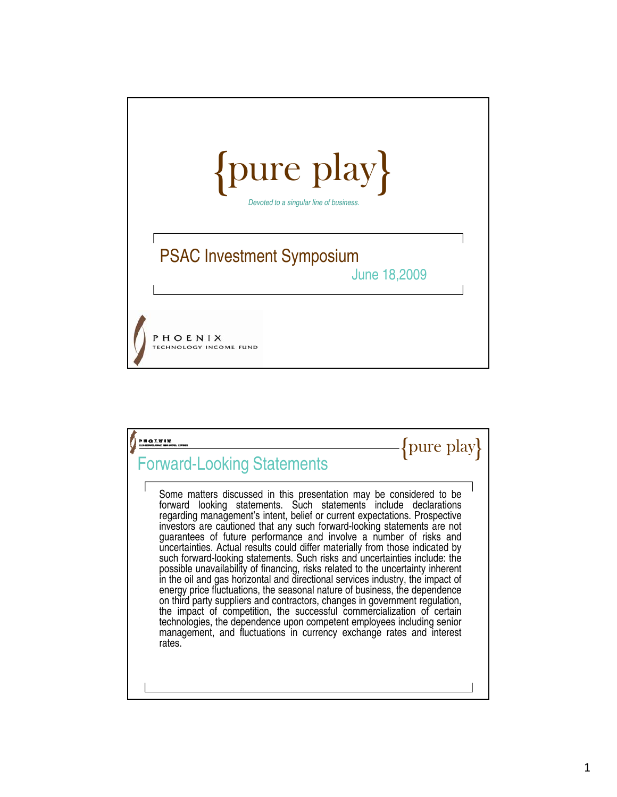

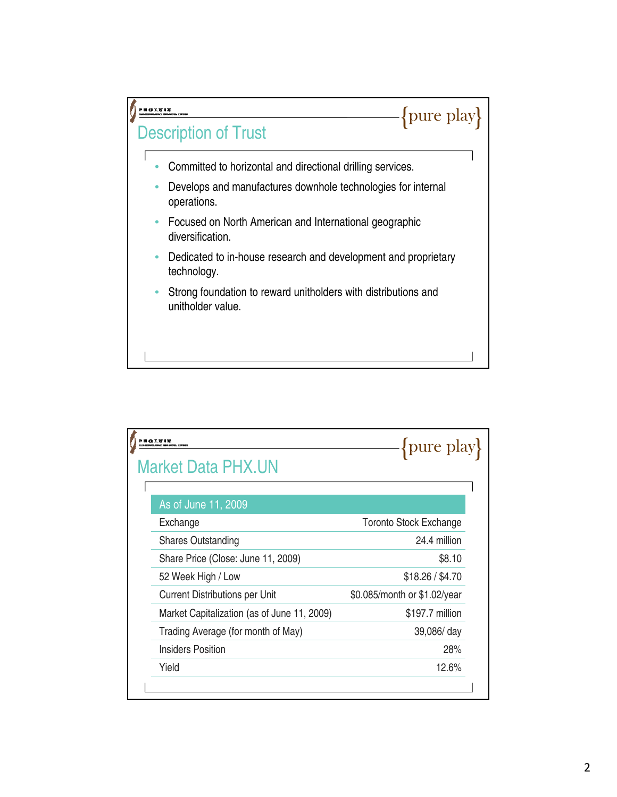

| <b>Market Data PHX.UN</b>                   | pure play                     |
|---------------------------------------------|-------------------------------|
| As of June 11, 2009                         |                               |
| Exchange                                    | <b>Toronto Stock Exchange</b> |
| <b>Shares Outstanding</b>                   | 24.4 million                  |
| Share Price (Close: June 11, 2009)          | \$8.10                        |
| 52 Week High / Low                          | \$18.26 / \$4.70              |
| <b>Current Distributions per Unit</b>       | \$0.085/month or \$1.02/year  |
| Market Capitalization (as of June 11, 2009) | \$197.7 million               |
| Trading Average (for month of May)          | 39,086/ day                   |
| Insiders Position                           | 28%                           |
| Yield                                       | 12.6%                         |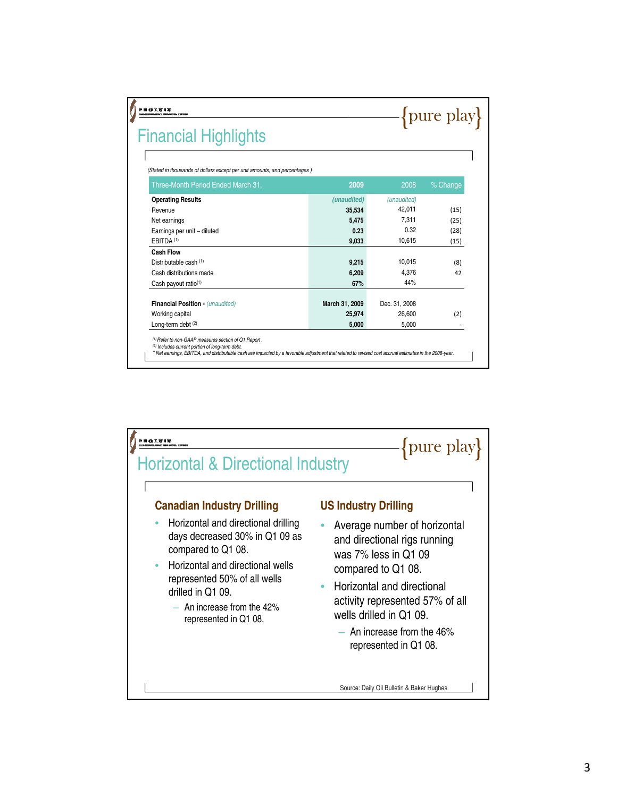| PH 43 E N 1 X<br><b>Financial Highlights</b>                              |                |               | {pure play} |
|---------------------------------------------------------------------------|----------------|---------------|-------------|
|                                                                           |                |               |             |
| (Stated in thousands of dollars except per unit amounts, and percentages) |                |               |             |
| Three-Month Period Ended March 31,                                        | 2009           | 2008          | % Change    |
| <b>Operating Results</b>                                                  | (unaudited)    | (unaudited)   |             |
| Revenue                                                                   | 35,534         | 42.011        | (15)        |
| Net earnings                                                              | 5.475          | 7.311         | (25)        |
| Earnings per unit - diluted                                               | 0.23           | 0.32          | (28)        |
| FRITDA <sup>(1)</sup>                                                     | 9.033          | 10.615        | (15)        |
| <b>Cash Flow</b>                                                          |                |               |             |
| Distributable cash (1)                                                    | 9.215          | 10.015        | (8)         |
| Cash distributions made                                                   | 6.209          | 4.376         | 42          |
| Cash payout ratio <sup>(1)</sup>                                          | 67%            | 44%           |             |
| Financial Position - (unaudited)                                          | March 31, 2009 | Dec. 31, 2008 |             |
|                                                                           | 25.974         | 26,600        | (2)         |
| Working capital                                                           |                |               |             |

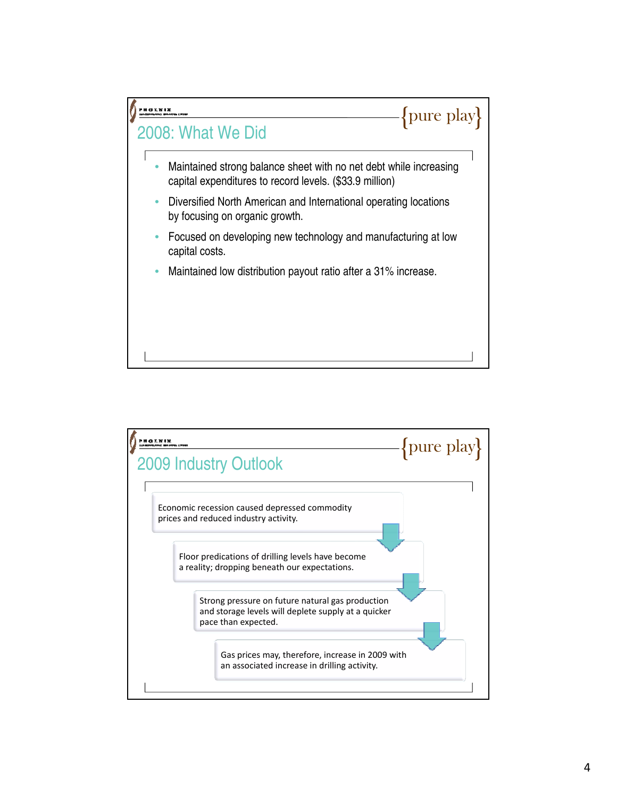

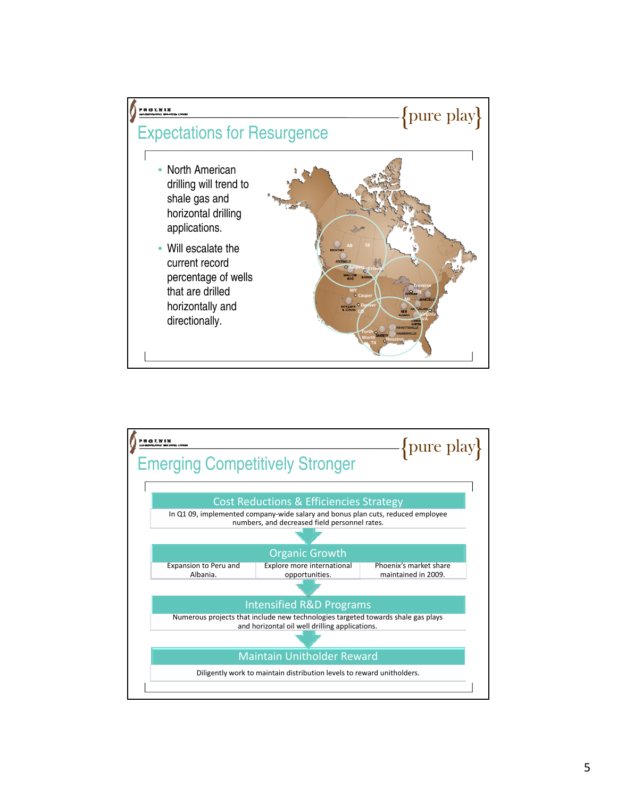